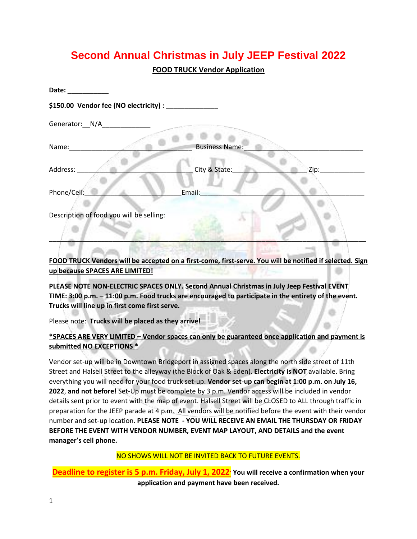## **Second Annual Christmas in July JEEP Festival 2022**

**FOOD TRUCK Vendor Application**

| Date:                                                  |                       |      |
|--------------------------------------------------------|-----------------------|------|
| \$150.00 Vendor fee (NO electricity) : _______________ |                       |      |
| Generator: __ N/A_                                     |                       |      |
|                                                        |                       |      |
| Name:                                                  | <b>Business Name:</b> |      |
| Address:                                               | City & State:         | Zip: |
| Phone/Cell:                                            | Email:                |      |
| Description of food you will be selling:               |                       |      |

**FOOD TRUCK Vendors will be accepted on a first-come, first-serve. You will be notified if selected. Sign up because SPACES ARE LIMITED!** 

**PLEASE NOTE NON-ELECTRIC SPACES ONLY. Second Annual Christmas in July Jeep Festival EVENT TIME: 3:00 p.m. – 11:00 p.m. Food trucks are encouraged to participate in the entirety of the event. Trucks will line up in first come first serve.** 

Please note: **Trucks will be placed as they arrive!**

**\*SPACES ARE VERY LIMITED – Vendor spaces can only be guaranteed once application and payment is submitted NO EXCEPTIONS \***

Vendor set-up will be in Downtown Bridgeport in assigned spaces along the north side street of 11th Street and Halsell Street to the alleyway (the Block of Oak & Eden). **Electricity is NOT** available. Bring everything you will need for your food truck set-up. **Vendor set-up can begin at 1:00 p.m. on July 16, 2022**, **and not before!** Set-Up must be complete by 3 p.m. Vendor access will be included in vendor details sent prior to event with the map of event. Halsell Street will be CLOSED to ALL through traffic in preparation for the JEEP parade at 4 p.m. All vendors will be notified before the event with their vendor number and set-up location. **PLEASE NOTE - YOU WILL RECEIVE AN EMAIL THE THURSDAY OR FRIDAY BEFORE THE EVENT WITH VENDOR NUMBER, EVENT MAP LAYOUT, AND DETAILS and the event manager's cell phone.** 

NO SHOWS WILL NOT BE INVITED BACK TO FUTURE EVENTS.

**Deadline to register is 5 p.m. Friday, July 1, 2022. You will receive a confirmation when your application and payment have been received.**